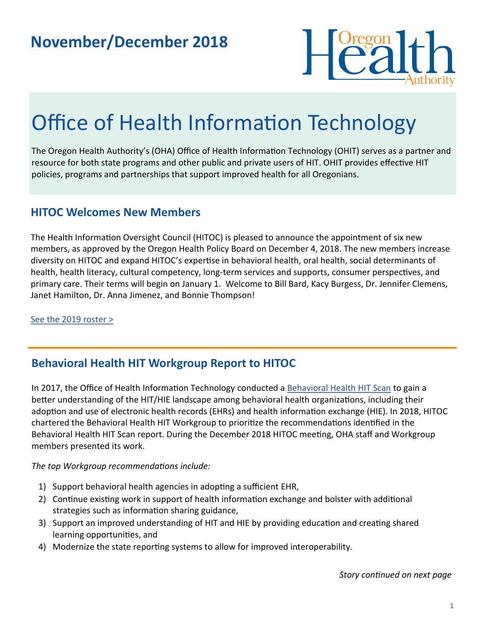

# Office of Health Information Technology

The Oregon Health Authority's (OHA) Office of Health Information Technology (OHIT) serves as a partner and resource for both state programs and other public and private users of HIT. OHIT provides effective HIT policies, programs and partnerships that support improved health for all Oregonians.

#### **HITOC Welcomes New Members**

The Health Information Oversight Council (HITOC) is pleased to announce the appointment of six new members, as approved by the Oregon Health Policy Board on December 4, 2018. The new members increase diversity on HITOC and expand HITOC's expertise in behavioral health, oral health, social determinants of health, health literacy, cultural competency, long-term services and supports, consumer perspectives, and primary care. Their terms will begin on January 1. Welcome to Bill Bard, Kacy Burgess, Dr. Jennifer Clemens, Janet Hamilton, Dr. Anna Jimenez, and Bonnie Thompson!

[See the 2019 roster >](https://www.oregon.gov/oha/HPA/OHIT-HITOC/Pages/Council-Members.aspx)

### **Behavioral Health HIT Workgroup Report to HITOC**

In 2017, the Office of Health Information Technology conducted a [Behavioral Health HIT Scan](https://www.oregon.gov/oha/HPA/OHIT/Documents/BH_HIT_ReportDraft20171201ForHITOCreview.pdf) to gain a better understanding of the HIT/HIE landscape among behavioral health organizations, including their adoption and use of electronic health records (EHRs) and health information exchange (HIE). In 2018, HITOC chartered the Behavioral Health HIT Workgroup to prioritize the recommendations identified in the Behavioral Health HIT Scan report. During the December 2018 HITOC meeting, OHA staff and Workgroup members presented its work.

#### *The top Workgroup recommendations include:*

- 1) Support behavioral health agencies in adopting a sufficient EHR,
- 2) Continue existing work in support of health information exchange and bolster with additional strategies such as information sharing guidance,
- 3) Support an improved understanding of HIT and HIE by providing education and creating shared learning opportunities, and
- 4) Modernize the state reporting systems to allow for improved interoperability.

#### *Story continued on next page*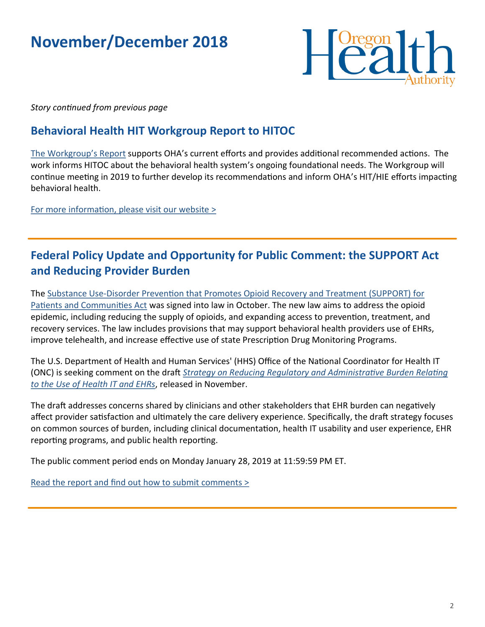# **November/December 2018**



*Story continued from previous page*

### **Behavioral Health HIT Workgroup Report to HITOC**

[The Workgroup](https://www.oregon.gov/oha/HPA/OHIT/Documents/BH_HIT_WorkgroupReportAndRecsDraftForHITOC_Draft.pdf)'s Report supports OHA's current efforts and provides additional recommended actions. The work informs HITOC about the behavioral health system's ongoing foundational needs. The Workgroup will continue meeting in 2019 to further develop its recommendations and inform OHA's HIT/HIE efforts impacting behavioral health.

[For more information, please visit our website >](https://www.oregon.gov/oha/HPA/OHIT-HITOC/Pages/Behavioral-Health-HIT.aspx) 

## **Federal Policy Update and Opportunity for Public Comment: the SUPPORT Act and Reducing Provider Burden**

The Substance Use-[Disorder Prevention that Promotes Opioid Recovery and Treatment \(SUPPORT\) for](https://www.congress.gov/bill/115th-congress/house-bill/6/text)  [Patients and Communities Act](https://www.congress.gov/bill/115th-congress/house-bill/6/text) was signed into law in October. The new law aims to address the opioid epidemic, including reducing the supply of opioids, and expanding access to prevention, treatment, and recovery services. The law includes provisions that may support behavioral health providers use of EHRs, improve telehealth, and increase effective use of state Prescription Drug Monitoring Programs.

The U.S. Department of Health and Human Services' (HHS) Office of the National Coordinator for Health IT (ONC) is seeking comment on the draft *[Strategy on Reducing Regulatory and Administrative Burden Relating](https://www.healthit.gov/topic/usability-and-provider-burden/strategy-reducing-burden-relating-use-health-it-and-ehrs)  [to the Use of Health IT and EHRs](https://www.healthit.gov/topic/usability-and-provider-burden/strategy-reducing-burden-relating-use-health-it-and-ehrs)*, released in November.

The draft addresses concerns shared by clinicians and other stakeholders that EHR burden can negatively affect provider satisfaction and ultimately the care delivery experience. Specifically, the draft strategy focuses on common sources of burden, including clinical documentation, health IT usability and user experience, EHR reporting programs, and public health reporting.

The public comment period ends on Monday January 28, 2019 at 11:59:59 PM ET.

[Read the report and find out how to submit comments >](https://www.healthit.gov/topic/usability-and-provider-burden/strategy-reducing-burden-relating-use-health-it-and-ehrs)